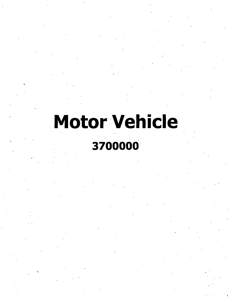# **Motor Vehicle**

# 3700000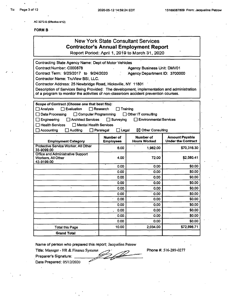**AC 3272-S (Effective 4/12)**

#### FORM **B**

# New York State Consultant Services **Contractor's Annual Employment Report**

Report Poriod; April 1, 2010 to March 31, 2020

| Contracting State Agency Name: Dept of Motor Vehicles                                         |                               |                                    |                           |  |  |
|-----------------------------------------------------------------------------------------------|-------------------------------|------------------------------------|---------------------------|--|--|
| Contract Number: C000878                                                                      |                               | <b>Agency Business Unit: DMV01</b> |                           |  |  |
| Contract Term: 9/25/2017 to 9/24/2020                                                         | Agency Department ID: 3700000 |                                    |                           |  |  |
| Contractor Name: TruView BSI, LLC.                                                            |                               |                                    |                           |  |  |
| Contractor Address: 25 Newbridge Road, Hicksville, NY 11801                                   |                               |                                    |                           |  |  |
| Description of Services Being Provided: The development, implementation and administration    |                               |                                    |                           |  |  |
| of a program to monitor the activities of non-classroom accident prevention courses.          |                               |                                    |                           |  |  |
|                                                                                               |                               |                                    |                           |  |  |
| Scope of Contract (Choose one that best fits):                                                |                               |                                    |                           |  |  |
| $\Box$ Evaluation<br>$\square$ Analysis<br>$\Box$ Research<br>Training                        |                               |                                    |                           |  |  |
| Data Processing<br>$\Box$ Computer Programming<br>$\Box$ Other IT consulting                  |                               |                                    |                           |  |  |
| <b>Architect Services</b><br>$\Box$ Surveying<br>$\Box$ Environmental Services<br>Engineering |                               |                                    |                           |  |  |
| <b>Health Services</b><br>Mental Health Services                                              |                               |                                    |                           |  |  |
| Accounting<br>Auditing                                                                        | $\Box$ Legal<br>Paralegal     | $\boxtimes$ Other Consulting       |                           |  |  |
|                                                                                               | <b>Number of</b>              | <b>Number of</b>                   | <b>Amount Payable</b>     |  |  |
| <b>Employment Category</b>                                                                    | <b>Employees</b>              | <b>Hours Worked</b>                | <b>Under the Contract</b> |  |  |
| Protective Service Worker, All Other<br>33-9099.00                                            | 6.00                          | 1,962.00                           | \$70,316.30               |  |  |
| <b>Office and Administrative Support</b>                                                      |                               |                                    | \$2,580.41                |  |  |
| Workers, All Other<br>43-9199.00                                                              | 4.00                          | 72.00                              |                           |  |  |
|                                                                                               | 0.00                          | 0.00                               | \$0.00                    |  |  |
|                                                                                               | 0.00                          | 0.00                               | \$0.00                    |  |  |
|                                                                                               | 0.00                          | 0.00                               | \$0.00                    |  |  |
|                                                                                               | 0.00                          | 0.00                               | \$0.00                    |  |  |
|                                                                                               | 0.00                          | 0.00                               | \$0.00                    |  |  |
|                                                                                               | 0.00                          | 0.00                               | \$0.00                    |  |  |
|                                                                                               | 0.00                          | 0.00                               | \$0.00                    |  |  |
|                                                                                               | 0.00                          | 0.00                               | \$0.00                    |  |  |
|                                                                                               | 0.00                          | 0.00                               | \$0.00                    |  |  |
|                                                                                               | 0.00.                         | 0.00                               | \$0.00                    |  |  |
|                                                                                               | 0.00                          | 0.00                               | \$0.00                    |  |  |
| <b>Total this Page</b>                                                                        | 10.00                         | 2,034.00                           | \$72,896.71               |  |  |
| <b>Grand Total</b>                                                                            |                               |                                    |                           |  |  |

Name of person who prepared this report: Jacqueline Petrow

Phone #: 516-289-0277

Preparer's Signature:

Date Prepared: 05/12/2020

Title: Manager - HR & Finance Systems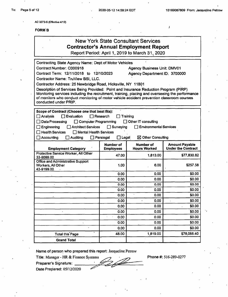$\lambda$ 

**AC 3272-S (Effectiva 4/12)**

#### FORM B

### New York State Consultant Services **Contractor's Annual Employment Report** Report Period: April 1,2019 to March 31,2020

Contracting State Agency Name: Dept of Motor Vehicles Contract Number: C000918 Contract Term: 12/11/2018 to 12/10/2023 Contractor Name: TruView BSI, LLC. Contractor Address: 25 Newbridge Road, Hicksville, NY 11801 Description of Services Being Provided: Point and Insurance Reduction Program (PIRP) Monitoring services including the recruitment, training, placing and overseeing the performance of monitors who conduct monitoring of motor vehicle accident prevention classroom courses conducted under PRIP. Agency Business Unit: DMV01 Agency Department ID: 3700000 Scope of Contract (Choose one that best fits): Analysis **D** Evaluation **C** Research **C** Training  $\Box$  Data Processing  $\Box$  Computer Programming  $\Box$  Other IT consulting Engineering Architect Services □Surveying Environmental Services  $\Box$  Health Services  $\Box$  Mental Health Services  $\Box$  Accounting  $\Box$  Auditing  $\Box$  Paralegal  $\Box$  Legal  $\boxtimes$  Other Consulting Number of **Employees** Number of Hours Worked **Amount Payable<br>Under the Contract Employment Category** Protective Service Worker, All Other 1,813.00 \$77,830.82<br>33-9099.00 \$77,830.82 Office and Administrative Support Workers, All Other 43-9199.00 1.00 6.00 6.00 0.00 \$0.00 \$0.00 0.00 **0.00** \$0.00 **0.00 \$0.000.00** 0.00 **0.00 50.00** 0.000.00 \$0.00 0.00 **\$0.00** \$0.00 0.00 **0.00 1 0.00 1 1 50.00** 0.00 **0.00** \$0.00 0.00 **0.00** \$0.00 0.00 \$0.00 0.000.00 \$0.00 Total this Page 1,819.00 | 48.00 | 1,819.00 | \$78,088.40 Grand Total

Name of person who prepared this report: Jacqueline Petrow

Title: Manager - HR & Finance Systems

Preparer's Signature:

Date Prepared: 05/12/2020

Phone #: 516-289-0277